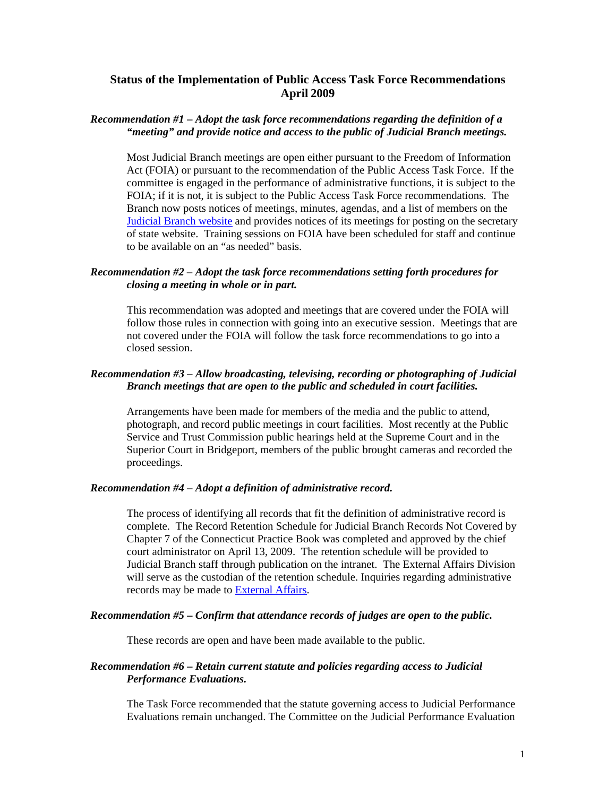# **Status of the Implementation of Public Access Task Force Recommendations April 2009**

## *Recommendation #1 – Adopt the task force recommendations regarding the definition of a "meeting" and provide notice and access to the public of Judicial Branch meetings.*

Most Judicial Branch meetings are open either pursuant to the Freedom of Information Act (FOIA) or pursuant to the recommendation of the Public Access Task Force. If the committee is engaged in the performance of administrative functions, it is subject to the FOIA; if it is not, it is subject to the Public Access Task Force recommendations. The Branch now posts notices of meetings, minutes, agendas, and a list of members on the **[Judicial Branch website](http://www.jud.ct.gov/Committees/) and provides notices of its meetings for posting on the secretary** of state website. Training sessions on FOIA have been scheduled for staff and continue to be available on an "as needed" basis.

## *Recommendation #2 – Adopt the task force recommendations setting forth procedures for closing a meeting in whole or in part.*

This recommendation was adopted and meetings that are covered under the FOIA will follow those rules in connection with going into an executive session. Meetings that are not covered under the FOIA will follow the task force recommendations to go into a closed session.

### *Recommendation #3 – Allow broadcasting, televising, recording or photographing of Judicial Branch meetings that are open to the public and scheduled in court facilities.*

Arrangements have been made for members of the media and the public to attend, photograph, and record public meetings in court facilities. Most recently at the Public Service and Trust Commission public hearings held at the Supreme Court and in the Superior Court in Bridgeport, members of the public brought cameras and recorded the proceedings.

### *Recommendation #4 – Adopt a definition of administrative record.*

The process of identifying all records that fit the definition of administrative record is complete. The Record Retention Schedule for Judicial Branch Records Not Covered by Chapter 7 of the Connecticut Practice Book was completed and approved by the chief court administrator on April 13, 2009. The retention schedule will be provided to Judicial Branch staff through publication on the intranet. The External Affairs Division will serve as the custodian of the retention schedule. Inquiries regarding administrative records may be made to [External Affairs.](mailto:externalaffairs@jud.ct.gov)

#### *Recommendation #5 – Confirm that attendance records of judges are open to the public.*

These records are open and have been made available to the public.

### *Recommendation #6 – Retain current statute and policies regarding access to Judicial Performance Evaluations.*

The Task Force recommended that the statute governing access to Judicial Performance Evaluations remain unchanged. The Committee on the Judicial Performance Evaluation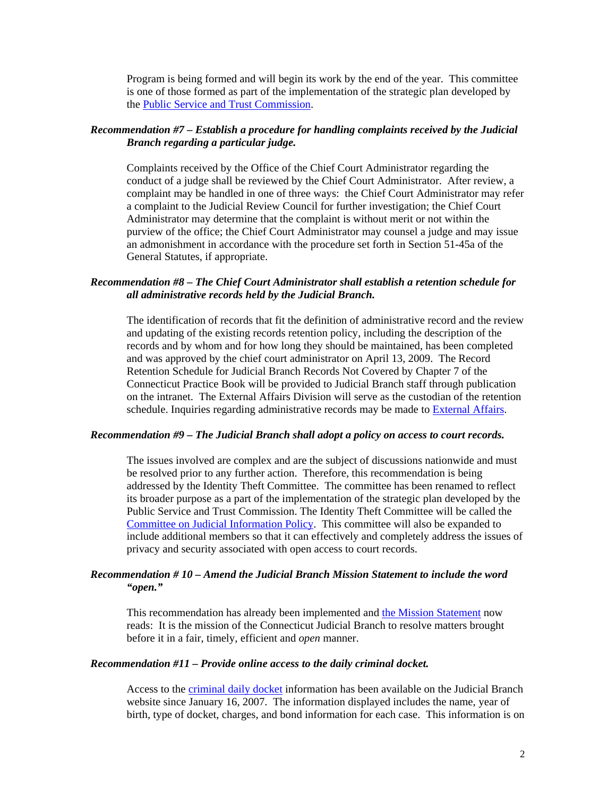Program is being formed and will begin its work by the end of the year. This committee is one of those formed as part of the implementation of the strategic plan developed by the [Public Service and Trust Commission.](http://www.jud.ct.gov/Committees/pst/jpe/default.htm)

## *Recommendation #7 – Establish a procedure for handling complaints received by the Judicial Branch regarding a particular judge.*

Complaints received by the Office of the Chief Court Administrator regarding the conduct of a judge shall be reviewed by the Chief Court Administrator. After review, a complaint may be handled in one of three ways: the Chief Court Administrator may refer a complaint to the Judicial Review Council for further investigation; the Chief Court Administrator may determine that the complaint is without merit or not within the purview of the office; the Chief Court Administrator may counsel a judge and may issue an admonishment in accordance with the procedure set forth in Section 51-45a of the General Statutes, if appropriate.

# *Recommendation #8 – The Chief Court Administrator shall establish a retention schedule for all administrative records held by the Judicial Branch.*

The identification of records that fit the definition of administrative record and the review and updating of the existing records retention policy, including the description of the records and by whom and for how long they should be maintained, has been completed and was approved by the chief court administrator on April 13, 2009. The Record Retention Schedule for Judicial Branch Records Not Covered by Chapter 7 of the Connecticut Practice Book will be provided to Judicial Branch staff through publication on the intranet. The External Affairs Division will serve as the custodian of the retention schedule. Inquiries regarding administrative records may be made to **External Affairs**.

#### *Recommendation #9 – The Judicial Branch shall adopt a policy on access to court records.*

The issues involved are complex and are the subject of discussions nationwide and must be resolved prior to any further action. Therefore, this recommendation is being addressed by the Identity Theft Committee. The committee has been renamed to reflect its broader purpose as a part of the implementation of the strategic plan developed by the Public Service and Trust Commission. The Identity Theft Committee will be called the [Committee on Judicial Information Policy.](http://www.jud.ct.gov/Committees/ID/) This committee will also be expanded to include additional members so that it can effectively and completely address the issues of privacy and security associated with open access to court records.

# *Recommendation # 10 – Amend the Judicial Branch Mission Statement to include the word "open."*

This recommendation has already been implemented and [the Mission Statement](http://www.jud.ct.gov/) now reads: It is the mission of the Connecticut Judicial Branch to resolve matters brought before it in a fair, timely, efficient and *open* manner.

### *Recommendation #11 – Provide online access to the daily criminal docket.*

Access to the [criminal daily docket](http://www.jud2.ct.gov/crdockets/) information has been available on the Judicial Branch website since January 16, 2007. The information displayed includes the name, year of birth, type of docket, charges, and bond information for each case. This information is on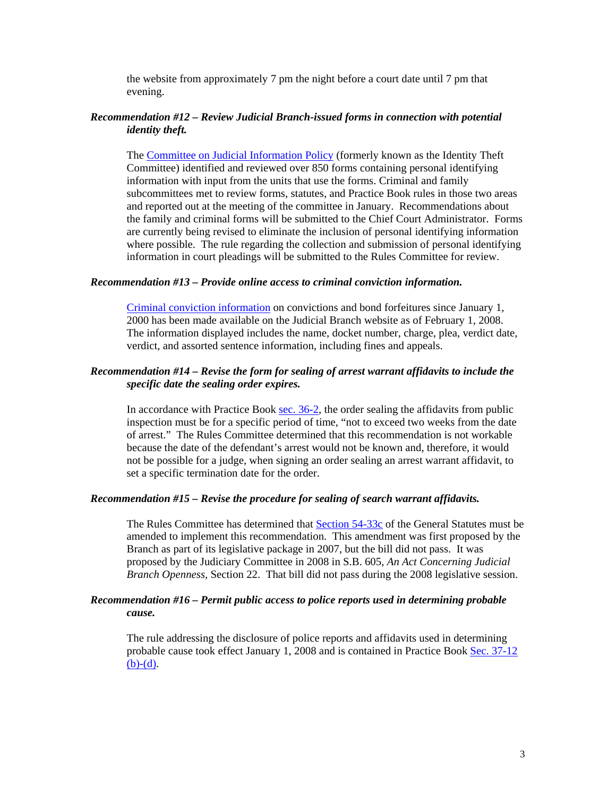the website from approximately 7 pm the night before a court date until 7 pm that evening.

## *Recommendation #12 – Review Judicial Branch-issued forms in connection with potential identity theft.*

The [Committee on Judicial Information Policy](http://www.jud.ct.gov/Committees/ID/) (formerly known as the Identity Theft Committee) identified and reviewed over 850 forms containing personal identifying information with input from the units that use the forms. Criminal and family subcommittees met to review forms, statutes, and Practice Book rules in those two areas and reported out at the meeting of the committee in January. Recommendations about the family and criminal forms will be submitted to the Chief Court Administrator. Forms are currently being revised to eliminate the inclusion of personal identifying information where possible. The rule regarding the collection and submission of personal identifying information in court pleadings will be submitted to the Rules Committee for review.

### *Recommendation #13 – Provide online access to criminal conviction information.*

[Criminal conviction information](http://www.jud2.ct.gov/crdockets/SearchByDefDisp.aspx) on convictions and bond forfeitures since January 1, 2000 has been made available on the Judicial Branch website as of February 1, 2008. The information displayed includes the name, docket number, charge, plea, verdict date, verdict, and assorted sentence information, including fines and appeals.

## *Recommendation #14 – Revise the form for sealing of arrest warrant affidavits to include the specific date the sealing order expires.*

In accordance with Practice Book [sec. 36-2,](http://www.jud.ct.gov/Publications/PracticeBook/PB2.pdf#page=55) the order sealing the affidavits from public inspection must be for a specific period of time, "not to exceed two weeks from the date of arrest." The Rules Committee determined that this recommendation is not workable because the date of the defendant's arrest would not be known and, therefore, it would not be possible for a judge, when signing an order sealing an arrest warrant affidavit, to set a specific termination date for the order.

#### *Recommendation #15 – Revise the procedure for sealing of search warrant affidavits.*

The Rules Committee has determined that [Section 54-33c](http://www.cga.ct.gov/2007/pub/Chap959.htm#Sec54-33c.htm) of the General Statutes must be amended to implement this recommendation. This amendment was first proposed by the Branch as part of its legislative package in 2007, but the bill did not pass. It was proposed by the Judiciary Committee in 2008 in S.B. 605, *An Act Concerning Judicial Branch Openness,* Section 22. That bill did not pass during the 2008 legislative session.

## *Recommendation #16 – Permit public access to police reports used in determining probable cause.*

The rule addressing the disclosure of police reports and affidavits used in determining probable cause took effect January 1, 2008 and is contained in Practice Book [Sec. 37-12](http://www.jud.ct.gov/Publications/PracticeBook/PB2.pdf#page=61)   $(b)-(d)$ .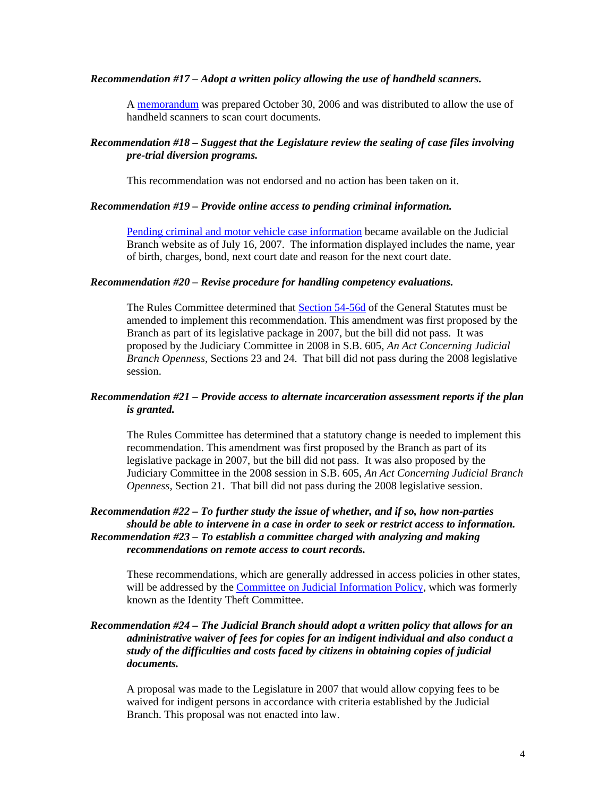### *Recommendation #17 – Adopt a written policy allowing the use of handheld scanners.*

A [memorandum](http://www.jud.ct.gov/Committees/patf/scanpol_103006.pdf) was prepared October 30, 2006 and was distributed to allow the use of handheld scanners to scan court documents.

# *Recommendation #18 – Suggest that the Legislature review the sealing of case files involving pre-trial diversion programs.*

This recommendation was not endorsed and no action has been taken on it.

#### *Recommendation #19 – Provide online access to pending criminal information.*

[Pending criminal and motor vehicle case information](http://www.jud2.ct.gov/crdockets) became available on the Judicial Branch website as of July 16, 2007. The information displayed includes the name, year of birth, charges, bond, next court date and reason for the next court date.

## *Recommendation #20 – Revise procedure for handling competency evaluations.*

The Rules Committee determined that [Section 54-56d](http://www.cga.ct.gov/2007/pub/Chap960.htm#Sec54-56d.htm) of the General Statutes must be amended to implement this recommendation. This amendment was first proposed by the Branch as part of its legislative package in 2007, but the bill did not pass. It was proposed by the Judiciary Committee in 2008 in S.B. 605, *An Act Concerning Judicial Branch Openness,* Sections 23 and 24. That bill did not pass during the 2008 legislative session.

## *Recommendation #21 – Provide access to alternate incarceration assessment reports if the plan is granted.*

The Rules Committee has determined that a statutory change is needed to implement this recommendation. This amendment was first proposed by the Branch as part of its legislative package in 2007, but the bill did not pass. It was also proposed by the Judiciary Committee in the 2008 session in S.B. 605, *An Act Concerning Judicial Branch Openness,* Section 21. That bill did not pass during the 2008 legislative session.

# *Recommendation #22 – To further study the issue of whether, and if so, how non-parties should be able to intervene in a case in order to seek or restrict access to information. Recommendation #23 – To establish a committee charged with analyzing and making recommendations on remote access to court records.*

These recommendations, which are generally addressed in access policies in other states, will be addressed by the [Committee on Judicial Information Policy,](http://www.jud.ct.gov/Committees/ID/) which was formerly known as the Identity Theft Committee.

## *Recommendation #24 – The Judicial Branch should adopt a written policy that allows for an administrative waiver of fees for copies for an indigent individual and also conduct a study of the difficulties and costs faced by citizens in obtaining copies of judicial documents.*

 A proposal was made to the Legislature in 2007 that would allow copying fees to be waived for indigent persons in accordance with criteria established by the Judicial Branch. This proposal was not enacted into law.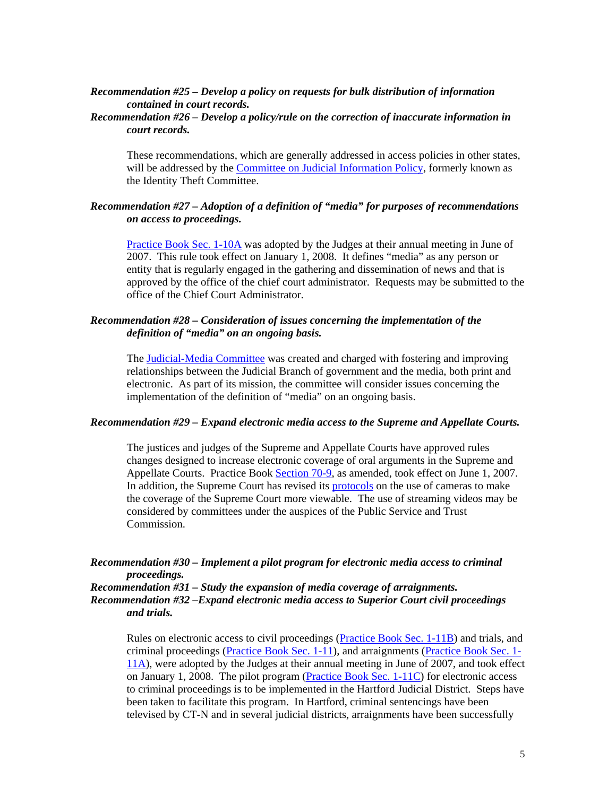## *Recommendation #25 – Develop a policy on requests for bulk distribution of information contained in court records.*

# *Recommendation #26 – Develop a policy/rule on the correction of inaccurate information in court records.*

These recommendations, which are generally addressed in access policies in other states, will be addressed by the [Committee on Judicial Information Policy,](http://www.jud.ct.gov/Committees/ID/) formerly known as the Identity Theft Committee.

# *Recommendation #27 – Adoption of a definition of "media" for purposes of recommendations on access to proceedings.*

[Practice Book Sec. 1-10A](http://www.jud.ct.gov/Publications/PracticeBook/PB1.pdf) was adopted by the Judges at their annual meeting in June of 2007. This rule took effect on January 1, 2008. It defines "media" as any person or entity that is regularly engaged in the gathering and dissemination of news and that is approved by the office of the chief court administrator. Requests may be submitted to the office of the Chief Court Administrator.

## *Recommendation #28 – Consideration of issues concerning the implementation of the definition of "media" on an ongoing basis.*

 The [Judicial-Media Committee](http://www.jud.ct.gov/Committees/media/default.htm) was created and charged with fostering and improving relationships between the Judicial Branch of government and the media, both print and electronic. As part of its mission, the committee will consider issues concerning the implementation of the definition of "media" on an ongoing basis.

### *Recommendation #29 – Expand electronic media access to the Supreme and Appellate Courts.*

The justices and judges of the Supreme and Appellate Courts have approved rules changes designed to increase electronic coverage of oral arguments in the Supreme and Appellate Courts. Practice Book [Section 70-9,](http://www.jud.ct.gov/Publications/PracticeBook/PB2.pdf#page=150) as amended, took effect on June 1, 2007. In addition, the Supreme Court has revised its [protocols](http://www.jud.ct.gov/external/supapp/sup_film.html) on the use of cameras to make the coverage of the Supreme Court more viewable. The use of streaming videos may be considered by committees under the auspices of the Public Service and Trust Commission.

# *Recommendation #30 – Implement a pilot program for electronic media access to criminal proceedings.*

*Recommendation #31 – Study the expansion of media coverage of arraignments. Recommendation #32 –Expand electronic media access to Superior Court civil proceedings and trials.* 

Rules on electronic access to civil proceedings ([Practice Book Sec. 1-11B](http://www.jud.ct.gov/Publications/PracticeBook/PB1.pdf#page=95)) and trials, and criminal proceedings ([Practice Book Sec. 1-11](http://www.jud.ct.gov/Publications/PracticeBook/PB1.pdf#page=93)), and arraignments ([Practice Book Sec. 1-](http://www.jud.ct.gov/Publications/PracticeBook/PB1.pdf#page=95) [11A\)](http://www.jud.ct.gov/Publications/PracticeBook/PB1.pdf#page=95), were adopted by the Judges at their annual meeting in June of 2007, and took effect on January 1, 2008. The pilot program [\(Practice Book Sec. 1-11C](http://www.jud.ct.gov/Publications/PracticeBook/PB1.pdf#page=97)) for electronic access to criminal proceedings is to be implemented in the Hartford Judicial District. Steps have been taken to facilitate this program. In Hartford, criminal sentencings have been televised by CT-N and in several judicial districts, arraignments have been successfully